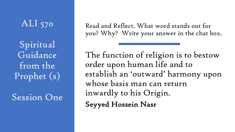### ALI 570

Spiritual Guidance from the Prophet (s)

#### Session One

Read and Reflect. What word stands out for you? Why? Write your answer in the chat box.

The function of religion is to bestow order upon human life and to establish an 'outward' harmony upon whose basis man can return inwardly to his Origin. Seyyed Hossein Nasr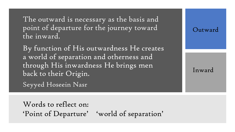The outward is necessary as the basis and point of departure for the journey toward the inward.

Outward

Inward

By function of His outwardness He creates a world of separation and otherness and through His inwardness He brings men back to their Origin.

Seyyed Hoseein Nasr

Words to reflect on: 'Point of Departure' 'world of separation'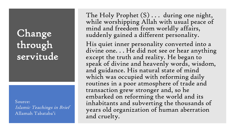## Change through servitude

Source: Islamic Teachings in Brief Allamah Tabataba'i

The Holy Prophet  $(S)$ ... during one night, while worshipping Allah with usual peace of mind and freedom from worldly affairs, suddenly gained a different personality.

His quiet inner personality converted into a divine one... He did not see or hear anything except the truth and reality. He began to speak of divine and heavenly words, wisdom, and guidance. His natural state of mind which was occupied with reforming daily routines in a poor atmosphere of trade and transaction grew stronger and, so he embarked on reforming the world and its inhabitants and subverting the thousands of years old organization of human aberration and cruelty.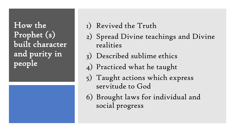How the Prophet (s) built character and purity in people

#### 1) Revived the Truth

- 2) Spread Divine teachings and Divine realities
- 3) Described sublime ethics
- 4) Practiced what he taught
- 5) Taught actions which express servitude to God
- 6) Brought laws for individual and social progress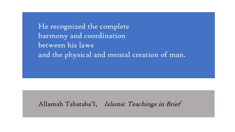He recognized the complete harmony and coordination between his laws and the physical and mental creation of man.

Allamah Tabataba'I, Islamic Teachings in Brief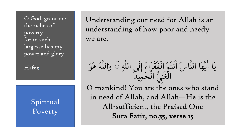O God, grant me the riches of poverty for in such largesse lies my power and glory

Hafe[z](https://directionjournal.org/45/1/spiritual-poverty-shii-perspective.html)

Spiritual Poverty

Understanding our need for Allah is an understanding of how poor and needy we are.

يَا أَيُّهَا النَّاسُ أَنْتُمُ الْفُقَرَاءُ إِلَى اللَّهِ ۞ وَاللَّهُ هُوَ الْغَنِّيِّ الْحَمِيد O mankind! You are the ones who stand in need of Allah, and Allah—He is the All-sufficient, the Praised One Sura Fatir, no.35, verse 15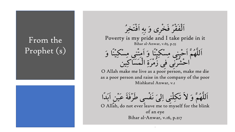### From the Prophet (s)



الفقرَ فَخْرِی وَ بِهِ اُفْتَخِرُ Poverty is my pride and I take pride in it Bihar al-Anwar, v.65, p.55

2 امِتْنِی مِسْکِیْنَا وَ احشرنی فی زمرةِ المساكِين

O Allah make me live as a poor person, make me die as a poor person and raise in the company of the poor Mishkatul Anwar, v.1

اللَّهُمْ وَ لا تَکِلْنِی اِلِّیَ نَفْسی طَرْفَة عَیْنِ ابْدا

O Allah, do not ever leave me to myself for the blink of an eye Bihar al-Anwar, v.16, p.217

> 2 2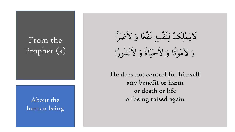#### From the Prophet (s)

human being

لاَیْمَلِکَ لِنَفْسِهِ نَفْعًا وَ لاَضْرَا وَ لاَمَوْتَا وَ لاَحْیَاةً وَ لاَنْشُورَا

He does not control for himself any benefit or harm or death or life About the and the state or being raised again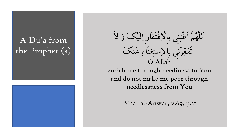## A Du'a from the Prophet (s)



2 اللهُمَّ اغْنِنِی بِالْاِفْتْقَارِ اِلْیَکْ وَ لا<br>ووی نے تَفْقِرْنِي بِالْإِسْتِغْنَاءِ عَنْكَ O Allah

enrich me through neediness to You and do not make me poor through needlessness from You

Bihar al-Anwar, v.69, p.31